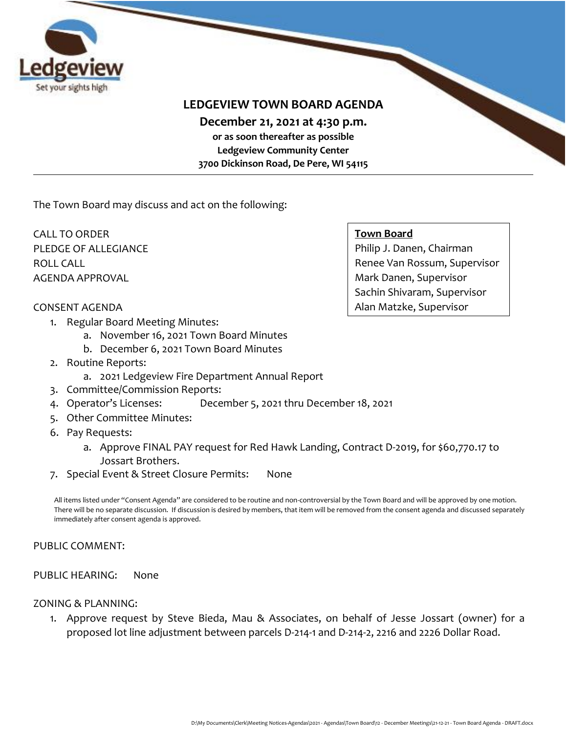

## **LEDGEVIEW TOWN BOARD AGENDA**

**December 21, 2021 at 4:30 p.m.** 

**or as soon thereafter as possible Ledgeview Community Center 3700 Dickinson Road, De Pere, WI 54115**

The Town Board may discuss and act on the following:

CALL TO ORDER PLEDGE OF ALLEGIANCE ROLL CALL AGENDA APPROVAL

#### **Town Board**

Philip J. Danen, Chairman Renee Van Rossum, Supervisor Mark Danen, Supervisor Sachin Shivaram, Supervisor Alan Matzke, Supervisor

## CONSENT AGENDA

- 1. Regular Board Meeting Minutes:
	- a. November 16, 2021 Town Board Minutes
	- b. December 6, 2021 Town Board Minutes
- 2. Routine Reports:
	- a. 2021 Ledgeview Fire Department Annual Report
- 3. Committee/Commission Reports:
- 4. Operator's Licenses: December 5, 2021 thru December 18, 2021
- 5. Other Committee Minutes:
- 6. Pay Requests:
	- a. Approve FINAL PAY request for Red Hawk Landing, Contract D-2019, for \$60,770.17 to Jossart Brothers.
- 7. Special Event & Street Closure Permits: None

All items listed under "Consent Agenda" are considered to be routine and non-controversial by the Town Board and will be approved by one motion. There will be no separate discussion. If discussion is desired by members, that item will be removed from the consent agenda and discussed separately immediately after consent agenda is approved.

#### PUBLIC COMMENT:

#### PUBLIC HEARING: None

#### ZONING & PLANNING:

1. Approve request by Steve Bieda, Mau & Associates, on behalf of Jesse Jossart (owner) for a proposed lot line adjustment between parcels D-214-1 and D-214-2, 2216 and 2226 Dollar Road.